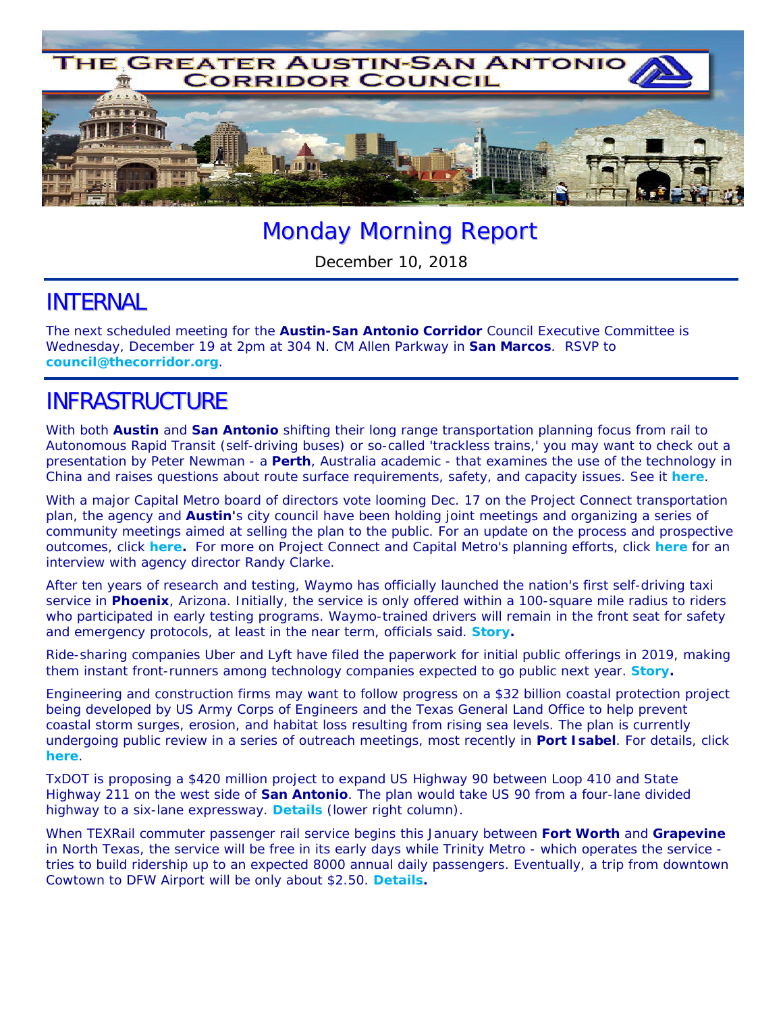

# Monday Morning Report

December 10, 2018

#### INTERNAL

The next scheduled meeting for the **Austin-San Antonio Corridor** Council Executive Committee is Wednesday, December 19 at 2pm at 304 N. CM Allen Parkway in **San Marcos**. RSVP to **council@thecorridor.org**.

## INFRASTRUCTURE

With both **Austin** and **San Antonio** shifting their long range transportation planning focus from rail to Autonomous Rapid Transit (self-driving buses) or so-called 'trackless trains,' you may want to check out a presentation by Peter Newman - a **Perth**, Australia academic - that examines the use of the technology in China and raises questions about route surface requirements, safety, and capacity issues. See it *here*.

With a major Capital Metro board of directors vote looming Dec. 17 on the Project Connect transportation plan, the agency and **Austin'**s city council have been holding joint meetings and organizing a series of community meetings aimed at selling the plan to the public. For an update on the process and prospective outcomes, click *here.* For more on Project Connect and Capital Metro's planning efforts, click *here* for an interview with agency director Randy Clarke.

After ten years of research and testing, Waymo has officially launched the nation's first self-driving taxi service in **Phoenix**, Arizona. Initially, the service is only offered within a 100-square mile radius to riders who participated in early testing programs. Waymo-trained drivers will remain in the front seat for safety and emergency protocols, at least in the near term, officials said. *Story.*

Ride-sharing companies Uber and Lyft have filed the paperwork for initial public offerings in 2019, making them instant front-runners among technology companies expected to go public next year. *Story.*

Engineering and construction firms may want to follow progress on a \$32 billion coastal protection project being developed by US Army Corps of Engineers and the Texas General Land Office to help prevent coastal storm surges, erosion, and habitat loss resulting from rising sea levels. The plan is currently undergoing public review in a series of outreach meetings, most recently in **Port Isabel**. For details, click *here*.

TxDOT is proposing a \$420 million project to expand US Highway 90 between Loop 410 and State Highway 211 on the west side of **San Antonio**. The plan would take US 90 from a four-lane divided highway to a six-lane expressway. *Details* (lower right column).

When TEXRail commuter passenger rail service begins this January between **Fort Worth** and **Grapevine** in North Texas, the service will be free in its early days while Trinity Metro - which operates the service tries to build ridership up to an expected 8000 annual daily passengers. Eventually, a trip from downtown Cowtown to DFW Airport will be only about \$2.50. *Details.*